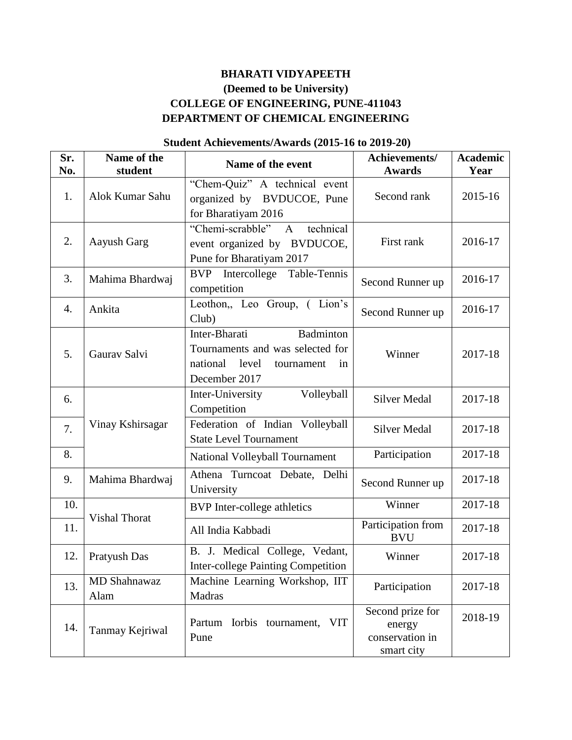## **BHARATI VIDYAPEETH (Deemed to be University) COLLEGE OF ENGINEERING, PUNE-411043 DEPARTMENT OF CHEMICAL ENGINEERING**

## **Sr. No. Name of the**  ame of the **Name of the event Achievements/**<br> **Achievements/ Awards Awards Academic Year** 1. Alok Kumar Sahu "Chem-Quiz" A technical event organized by BVDUCOE, Pune for Bharatiyam 2016 Second rank 2015-16 2. Aayush Garg "Chemi-scrabble" A technical event organized by BVDUCOE, Pune for Bharatiyam 2017 First rank 2016-17 3. Mahima Bhardwaj BVP Intercollege Table-Tennis Second Runner up  $\left( \frac{2016-17}{2016} \right)$ 4.  $\begin{array}{|l|l|}\n\end{array}$  Ankita  $\begin{array}{|l|l|}\n\end{array}$  Leothon, Leo Group, (Lion's Club) Second Runner up  $\left| \right. 2016-17$ 5. Gaurav Salvi Inter-Bharati Badminton Tournaments and was selected for national level tournament in December 2017 Winner | 2017-18 6. Vinay Kshirsagar Inter-University Volleyball Competition Silver Medal 2017-18 7. Federation of Indian Volleyball State Level Tournament Silver Medal 2017-18 8. National Volleyball Tournament | Participation | 2017-18 9. Mahima Bhardwaj Athena Turncoat Debate, Delhi Second Runner up  $\left| \right.$  2017-18 10. Vishal Thorat BVP Inter-college athletics Winner 2017-18 11. VISHAI I HOTA BVU 2017-18 12. Pratyush Das  $\begin{array}{|l|} \hline \end{array}$  B. J. Medical College, Vedant, Inter-college Painting Competition Winner | 2017-18 13. MD Shahnawaz Alam Machine Learning Workshop, IIT Madras Participation 2017-18 14. Tanmay Kejriwal Partum Iorbis tournament, VIT Pune Second prize for energy conservation in smart city 2018-19

## **Student Achievements/Awards (2015-16 to 2019-20)**